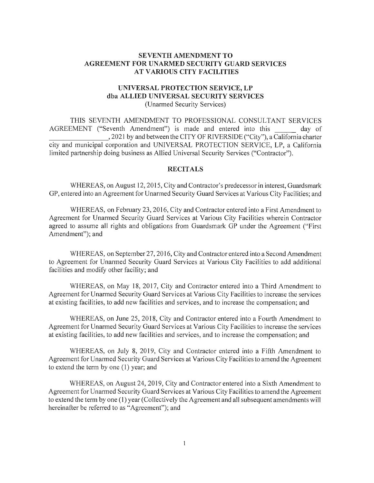# **SEVENTH AMENDMENT TO AGREEMENT FOR UNARMED SECURITY GUARD SERVICES AT VARIOUS CITY FACILITIES**

### **UNIVERSAL PROTECTION SERVICE, LP dba ALLIED UNIVERSAL SECURITY SERVICES**  (Unarmed Security Services)

THIS SEVENTH AMENDMENT TO PROFESSIONAL CONSULTANT SERVICES AGREEMENT ("Seventh Amendment") is made and entered into this day of \_\_\_\_\_\_\_ , 2021 by and between the CITY OF RIVERSIDE ("City"), a California charter city and municipal corporation and UNIVERSAL PROTECTION SERVICE, LP, a California limited pminership doing business as Allied Universal Security Services ("Contractor").

#### **RECITALS**

WHEREAS, on August 12, 2015, City and Contractor's predecessor in interest, Guardsmark GP, entered into an Agreement for Unarmed Security Guard Services at Various City Facilities; and

WHEREAS, on February 23, 2016, City and Contractor entered into a First Amendment to Agreement for Unarmed Security Guard Services at Various City Facilities wherein Contractor agreed to assume all rights and obligations from Guardsmark GP under the Agreement ("First Amendment"); and

WHEREAS, on September 27, 2016, City and Contractor entered into a Second Amendment to Agreement for Unarmed Security Guard Services at Various City Facilities to add additional facilities and modify other facility; and

WHEREAS, on May 18, 2017, City and Contractor entered into a Third Amendment to Agreement for Unarmed Security Guard Services at Various City Facilities to increase the services at existing facilities, to add new facilities and services, and to increase the compensation; and

WHEREAS, on June 25, 2018, City and Contractor entered into a Fourth Amendment to Agreement for Unarmed Security Guard Services at Various City Facilities to increase the services at existing facilities, to add new facilities and services, and to increase the compensation; and

WHEREAS, on July 8, 2019, City and Contractor entered into a Fifth Amendment to Agreement for Unarmed Security Guard Services at Various City Facilities to amend the Agreement to extend the term by one (1) year; and

WHEREAS, on August 24, 2019, City and Contractor entered into a Sixth Amendment to Agreement for Unarmed Security Guard Services at Various City Facilities to amend the Agreement to extend the term by one **(1)** year (Collectively the Agreement and all subsequent amendments will hereinafter be referred to as "Agreement"); and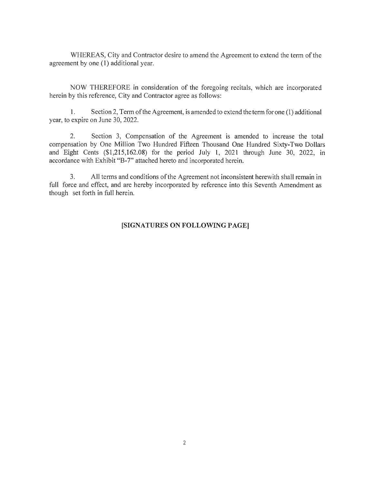WHEREAS, City and Contractor desire to amend the Agreement to extend the term of the agreement by one **(1)** additional year.

NOW THEREFORE in consideration of the foregoing recitals, which are incorporated herein by this reference, City and Contractor agree as follows:

**1.** Section 2, Term of the Agreement, is amended to extend the term for one (I) additional year, to expire on June 30, 2022.

2. Section 3, Compensation of the Agreement is amended to increase the total compensation by One Million Two Hundred Fifteen Thousand One Hundred Sixty-Two Dollars and Eight Cents (\$1 ,215,162.08) for the period July **1,** 2021 through June 30, 2022, in accordance with Exhibit "B-7" attached hereto and incorporated herein.

3. All terms and conditions of the Agreement not inconsistent herewith shall remain in full force and effect, and are hereby incorporated by reference into this Seventh Amendment as though set forth in full herein.

### **[SIGNATURES ON FOLLOWING PAGE]**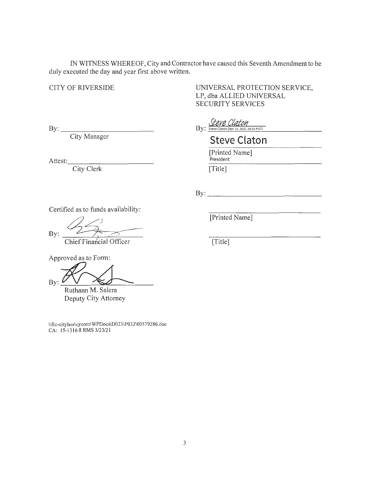IN WITNESS WHEREOF, City and Contractor have caused this Seventh Amendment to be duly executed the day and year first above written.

# CITY OF RIVERSIDE

UNIVERSAL PROTECTION SERVICE, LP, dba ALLIED UNIVERSAL SECURITY SERVICES

 $\text{By:}\_$ 

City Manager

Attest: \_\_\_\_\_\_\_\_\_\_ \_

City Clerk

| Steve Claton                                                    |
|-----------------------------------------------------------------|
| $\overline{\mathrm{By:}}$ Steve Claton (Apr 15, 2021 19:33 PDT) |

**Steve Claton** 

[Printed Name] President [Title]

By:  $\qquad \qquad$ 

Certified as to funds availability:

By:

Chief Financial Officer

[Printed Name]

 $\overline{|\text{Title}|}$ 

Approved as to Form:

By:

Ruthann M. Salera Deputy City Attorney

\\Rc-citylaw\cycom\WPDocs\D023\P032\00579286.doc CA: 15-1316.8 RMS 3/23/21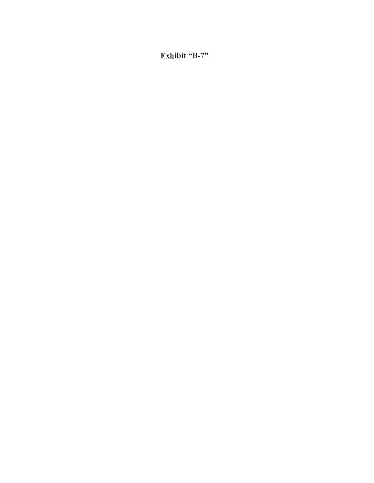Exhibit "B-7"